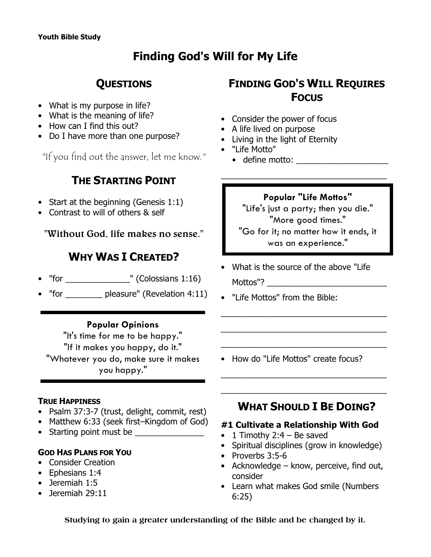# **Finding God's Will for My Life**

# **QUESTIONS**

- What is my purpose in life?
- What is the meaning of life?
- How can I find this out?
- Do I have more than one purpose?

"If you find out the answer, let me know."

# **THE STARTING POINT**

- Start at the beginning (Genesis 1:1)
- Contrast to will of others & self

**"Without God, life makes no sense."**

# **WHY WAS I CREATED?**

- "for \_\_\_\_\_\_\_\_\_\_\_\_\_\_\_\_\_" (Colossians  $1:16$ )
- "for \_\_\_\_\_\_\_\_ pleasure" (Revelation 4:11)

## **Popular Opinions**

"It's time for me to be happy." "If it makes you happy, do it." "Whatever you do, make sure it makes you happy."

## **TRUE HAPPINESS**

- Psalm 37:3-7 (trust, delight, commit, rest)
- Matthew 6:33 (seek first–Kingdom of God)
- Starting point must be

## **GOD HAS PLANS FOR YOU**

- Consider Creation
- Ephesians 1:4
- Jeremiah 1:5
- Jeremiah 29:11

# **FINDING GOD'S WILL REQUIRES FOCUS**

- Consider the power of focus
- A life lived on purpose
- Living in the light of Eternity
- "Life Motto"
	- define motto:

## **Popular "Life Mottos"**

\_\_\_\_\_\_\_\_\_\_\_\_\_\_\_\_\_\_\_\_\_\_\_\_\_\_\_\_\_\_\_\_\_\_\_\_

"Life's just a party; then you die." "More good times." "Go for it; no matter how it ends, it was an experience."

• What is the source of the above "Life Mottos"?

\_\_\_\_\_\_\_\_\_\_\_\_\_\_\_\_\_\_\_\_\_\_\_\_\_\_\_\_\_\_\_\_\_\_\_\_

\_\_\_\_\_\_\_\_\_\_\_\_\_\_\_\_\_\_\_\_\_\_\_\_\_\_\_\_\_\_\_\_\_\_\_\_

\_\_\_\_\_\_\_\_\_\_\_\_\_\_\_\_\_\_\_\_\_\_\_\_\_\_\_\_\_\_\_\_\_\_\_\_

\_\_\_\_\_\_\_\_\_\_\_\_\_\_\_\_\_\_\_\_\_\_\_\_\_\_\_\_\_\_\_\_\_\_\_\_

\_\_\_\_\_\_\_\_\_\_\_\_\_\_\_\_\_\_\_\_\_\_\_\_\_\_\_\_\_\_\_\_\_\_\_\_

- "Life Mottos" from the Bible:
- How do "Life Mottos" create focus?
	- **WHAT SHOULD I BE DOING?**

## **#1 Cultivate a Relationship With God**

- 1 Timothy 2:4 Be saved
- Spiritual disciplines (grow in knowledge)
- Proverbs 3:5-6
- Acknowledge know, perceive, find out, consider
- Learn what makes God smile (Numbers 6:25)

**Studying to gain a greater understanding of the Bible and be changed by it.**